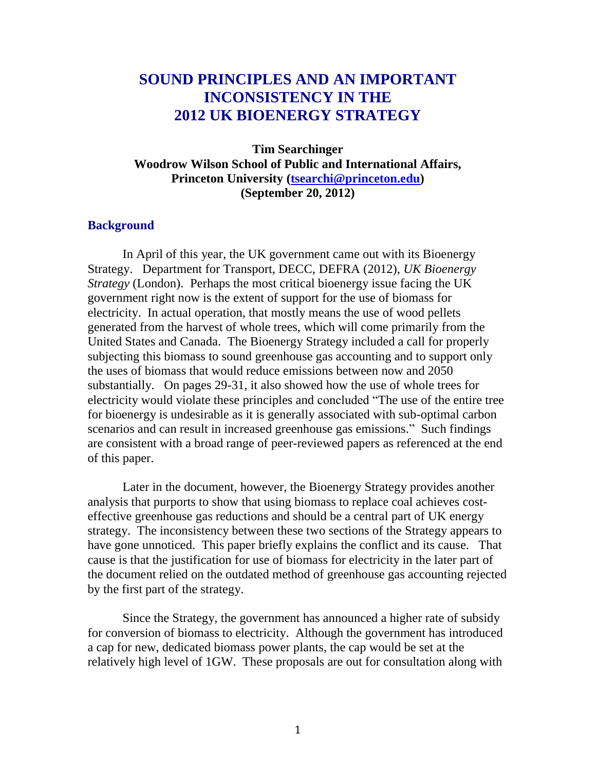# **SOUND PRINCIPLES AND AN IMPORTANT INCONSISTENCY IN THE 2012 UK BIOENERGY STRATEGY**

**Tim Searchinger Woodrow Wilson School of Public and International Affairs, Princeton University [\(tsearchi@princeton.edu\)](mailto:tsearchi@princeton.edu) (September 20, 2012)**

#### **Background**

In April of this year, the UK government came out with its Bioenergy Strategy. Department for Transport, DECC, DEFRA (2012), *UK Bioenergy Strategy* (London). Perhaps the most critical bioenergy issue facing the UK government right now is the extent of support for the use of biomass for electricity. In actual operation, that mostly means the use of wood pellets generated from the harvest of whole trees, which will come primarily from the United States and Canada. The Bioenergy Strategy included a call for properly subjecting this biomass to sound greenhouse gas accounting and to support only the uses of biomass that would reduce emissions between now and 2050 substantially. On pages 29-31, it also showed how the use of whole trees for electricity would violate these principles and concluded "The use of the entire tree for bioenergy is undesirable as it is generally associated with sub-optimal carbon scenarios and can result in increased greenhouse gas emissions." Such findings are consistent with a broad range of peer-reviewed papers as referenced at the end of this paper.

Later in the document, however, the Bioenergy Strategy provides another analysis that purports to show that using biomass to replace coal achieves costeffective greenhouse gas reductions and should be a central part of UK energy strategy. The inconsistency between these two sections of the Strategy appears to have gone unnoticed. This paper briefly explains the conflict and its cause. That cause is that the justification for use of biomass for electricity in the later part of the document relied on the outdated method of greenhouse gas accounting rejected by the first part of the strategy.

Since the Strategy, the government has announced a higher rate of subsidy for conversion of biomass to electricity. Although the government has introduced a cap for new, dedicated biomass power plants, the cap would be set at the relatively high level of 1GW. These proposals are out for consultation along with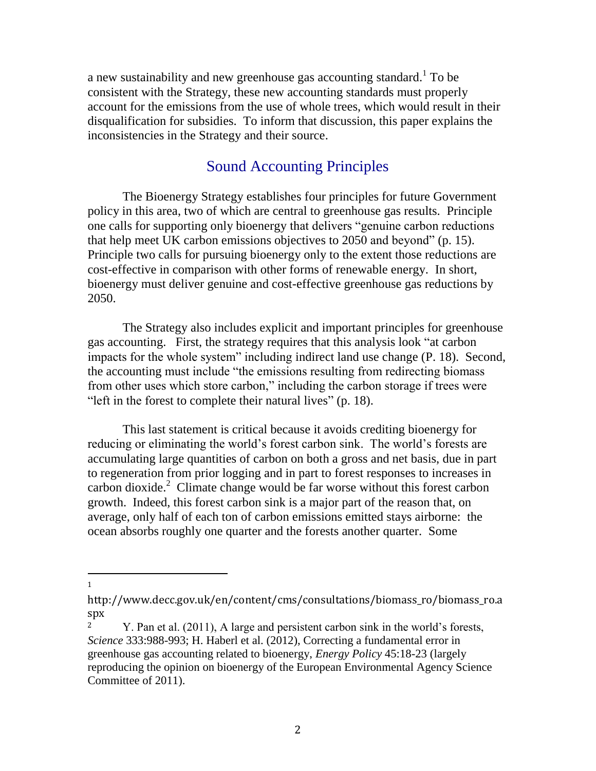a new sustainability and new greenhouse gas accounting standard.<sup>1</sup> To be consistent with the Strategy, these new accounting standards must properly account for the emissions from the use of whole trees, which would result in their disqualification for subsidies. To inform that discussion, this paper explains the inconsistencies in the Strategy and their source.

### Sound Accounting Principles

The Bioenergy Strategy establishes four principles for future Government policy in this area, two of which are central to greenhouse gas results. Principle one calls for supporting only bioenergy that delivers "genuine carbon reductions that help meet UK carbon emissions objectives to 2050 and beyond" (p. 15). Principle two calls for pursuing bioenergy only to the extent those reductions are cost-effective in comparison with other forms of renewable energy. In short, bioenergy must deliver genuine and cost-effective greenhouse gas reductions by 2050.

The Strategy also includes explicit and important principles for greenhouse gas accounting. First, the strategy requires that this analysis look "at carbon impacts for the whole system" including indirect land use change (P. 18). Second, the accounting must include "the emissions resulting from redirecting biomass from other uses which store carbon," including the carbon storage if trees were "left in the forest to complete their natural lives" (p. 18).

This last statement is critical because it avoids crediting bioenergy for reducing or eliminating the world's forest carbon sink. The world's forests are accumulating large quantities of carbon on both a gross and net basis, due in part to regeneration from prior logging and in part to forest responses to increases in carbon dioxide.<sup>2</sup> Climate change would be far worse without this forest carbon growth. Indeed, this forest carbon sink is a major part of the reason that, on average, only half of each ton of carbon emissions emitted stays airborne: the ocean absorbs roughly one quarter and the forests another quarter. Some

 $\overline{a}$ 1

http://www.decc.gov.uk/en/content/cms/consultations/biomass\_ro/biomass\_ro.a spx

<sup>&</sup>lt;sup>2</sup> Y. Pan et al. (2011), A large and persistent carbon sink in the world's forests, *Science* 333:988-993; H. Haberl et al. (2012), Correcting a fundamental error in greenhouse gas accounting related to bioenergy, *Energy Policy* 45:18-23 (largely reproducing the opinion on bioenergy of the European Environmental Agency Science Committee of 2011).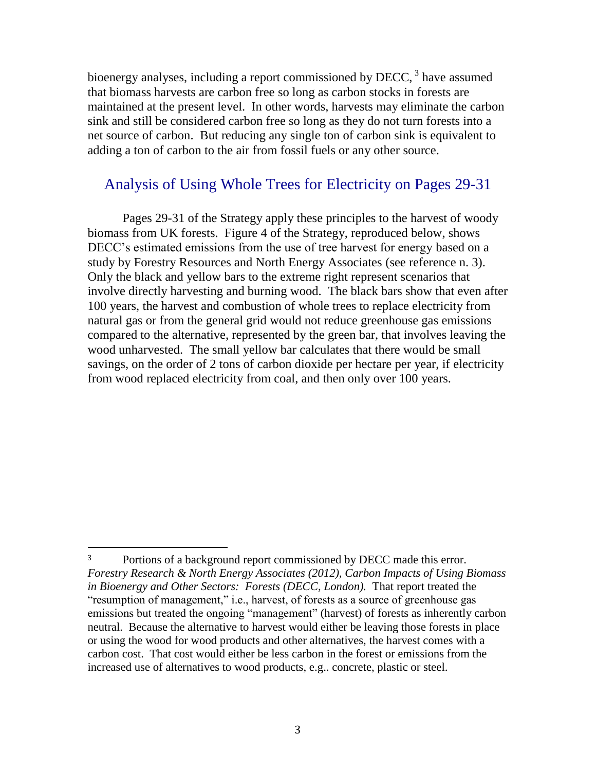bioenergy analyses, including a report commissioned by  $DECC$ ,  $3$  have assumed that biomass harvests are carbon free so long as carbon stocks in forests are maintained at the present level. In other words, harvests may eliminate the carbon sink and still be considered carbon free so long as they do not turn forests into a net source of carbon. But reducing any single ton of carbon sink is equivalent to adding a ton of carbon to the air from fossil fuels or any other source.

## Analysis of Using Whole Trees for Electricity on Pages 29-31

Pages 29-31 of the Strategy apply these principles to the harvest of woody biomass from UK forests. Figure 4 of the Strategy, reproduced below, shows DECC's estimated emissions from the use of tree harvest for energy based on a study by Forestry Resources and North Energy Associates (see reference n. 3). Only the black and yellow bars to the extreme right represent scenarios that involve directly harvesting and burning wood. The black bars show that even after 100 years, the harvest and combustion of whole trees to replace electricity from natural gas or from the general grid would not reduce greenhouse gas emissions compared to the alternative, represented by the green bar, that involves leaving the wood unharvested. The small yellow bar calculates that there would be small savings, on the order of 2 tons of carbon dioxide per hectare per year, if electricity from wood replaced electricity from coal, and then only over 100 years.

l

<sup>&</sup>lt;sup>3</sup> Portions of a background report commissioned by DECC made this error. *Forestry Research & North Energy Associates (2012), Carbon Impacts of Using Biomass in Bioenergy and Other Sectors: Forests (DECC, London).* That report treated the "resumption of management," i.e., harvest, of forests as a source of greenhouse gas emissions but treated the ongoing "management" (harvest) of forests as inherently carbon neutral. Because the alternative to harvest would either be leaving those forests in place or using the wood for wood products and other alternatives, the harvest comes with a carbon cost. That cost would either be less carbon in the forest or emissions from the increased use of alternatives to wood products, e.g.. concrete, plastic or steel.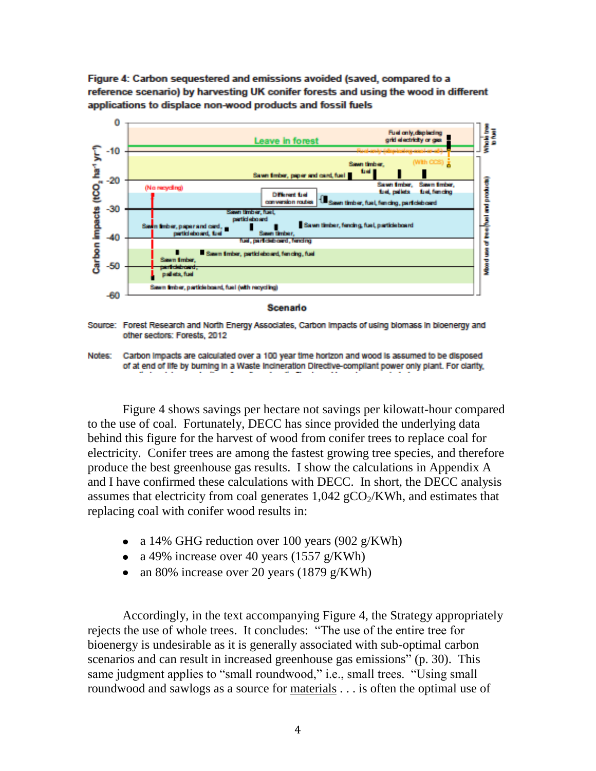Figure 4: Carbon sequestered and emissions avoided (saved, compared to a reference scenario) by harvesting UK conifer forests and using the wood in different applications to displace non-wood products and fossil fuels



Scenario

Source: Forest Research and North Energy Associates, Carbon Impacts of using biomass in bioenergy and other sectors: Forests, 2012

Notes: Carbon Impacts are calculated over a 100 year time horizon and wood is assumed to be disposed of at end of life by burning in a Waste Incineration Directive-compilant power only plant. For clarity,

Figure 4 shows savings per hectare not savings per kilowatt-hour compared to the use of coal. Fortunately, DECC has since provided the underlying data behind this figure for the harvest of wood from conifer trees to replace coal for electricity. Conifer trees are among the fastest growing tree species, and therefore produce the best greenhouse gas results. I show the calculations in Appendix A and I have confirmed these calculations with DECC. In short, the DECC analysis assumes that electricity from coal generates  $1,042 \text{ gCO}_2/\text{KWh}$ , and estimates that replacing coal with conifer wood results in:

- a 14% GHG reduction over 100 years (902 g/KWh)
- a 49% increase over 40 years  $(1557 \text{ g/KWh})$
- an 80% increase over 20 years (1879 g/KWh)

Accordingly, in the text accompanying Figure 4, the Strategy appropriately rejects the use of whole trees. It concludes: "The use of the entire tree for bioenergy is undesirable as it is generally associated with sub-optimal carbon scenarios and can result in increased greenhouse gas emissions" (p. 30). This same judgment applies to "small roundwood," i.e., small trees. "Using small roundwood and sawlogs as a source for materials . . . is often the optimal use of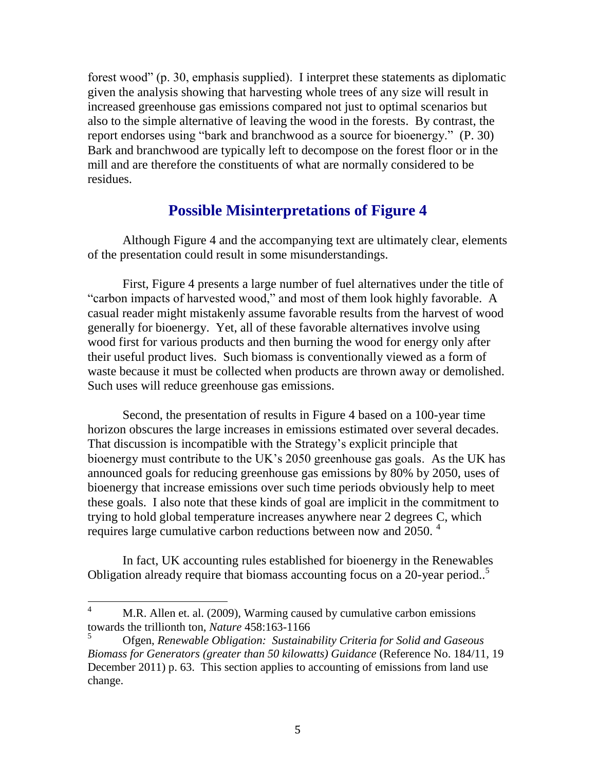forest wood" (p. 30, emphasis supplied). I interpret these statements as diplomatic given the analysis showing that harvesting whole trees of any size will result in increased greenhouse gas emissions compared not just to optimal scenarios but also to the simple alternative of leaving the wood in the forests. By contrast, the report endorses using "bark and branchwood as a source for bioenergy." (P. 30) Bark and branchwood are typically left to decompose on the forest floor or in the mill and are therefore the constituents of what are normally considered to be residues.

## **Possible Misinterpretations of Figure 4**

Although Figure 4 and the accompanying text are ultimately clear, elements of the presentation could result in some misunderstandings.

First, Figure 4 presents a large number of fuel alternatives under the title of "carbon impacts of harvested wood," and most of them look highly favorable. A casual reader might mistakenly assume favorable results from the harvest of wood generally for bioenergy. Yet, all of these favorable alternatives involve using wood first for various products and then burning the wood for energy only after their useful product lives. Such biomass is conventionally viewed as a form of waste because it must be collected when products are thrown away or demolished. Such uses will reduce greenhouse gas emissions.

Second, the presentation of results in Figure 4 based on a 100-year time horizon obscures the large increases in emissions estimated over several decades. That discussion is incompatible with the Strategy's explicit principle that bioenergy must contribute to the UK's 2050 greenhouse gas goals. As the UK has announced goals for reducing greenhouse gas emissions by 80% by 2050, uses of bioenergy that increase emissions over such time periods obviously help to meet these goals. I also note that these kinds of goal are implicit in the commitment to trying to hold global temperature increases anywhere near 2 degrees C, which requires large cumulative carbon reductions between now and 2050.<sup>4</sup>

In fact, UK accounting rules established for bioenergy in the Renewables Obligation already require that biomass accounting focus on a 20-year period.<sup>5</sup>

 $\overline{4}$ M.R. Allen et. al. (2009), Warming caused by cumulative carbon emissions towards the trillionth ton, *Nature* 458:163-1166

<sup>5</sup> Ofgen, *Renewable Obligation: Sustainability Criteria for Solid and Gaseous Biomass for Generators (greater than 50 kilowatts) Guidance* (Reference No. 184/11, 19 December 2011) p. 63. This section applies to accounting of emissions from land use change.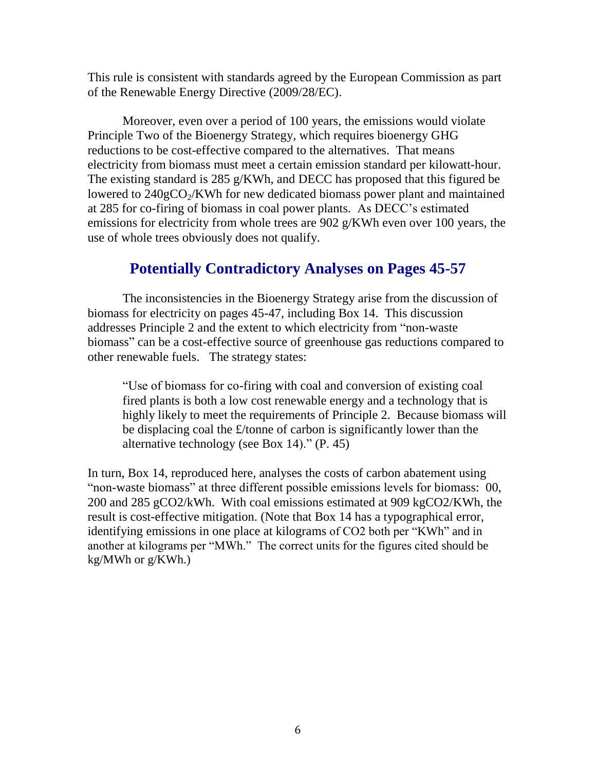This rule is consistent with standards agreed by the European Commission as part of the Renewable Energy Directive (2009/28/EC).

Moreover, even over a period of 100 years, the emissions would violate Principle Two of the Bioenergy Strategy, which requires bioenergy GHG reductions to be cost-effective compared to the alternatives. That means electricity from biomass must meet a certain emission standard per kilowatt-hour. The existing standard is 285 g/KWh, and DECC has proposed that this figured be lowered to  $240gCO<sub>2</sub>/KWh$  for new dedicated biomass power plant and maintained at 285 for co-firing of biomass in coal power plants. As DECC's estimated emissions for electricity from whole trees are 902 g/KWh even over 100 years, the use of whole trees obviously does not qualify.

# **Potentially Contradictory Analyses on Pages 45-57**

The inconsistencies in the Bioenergy Strategy arise from the discussion of biomass for electricity on pages 45-47, including Box 14. This discussion addresses Principle 2 and the extent to which electricity from "non-waste biomass" can be a cost-effective source of greenhouse gas reductions compared to other renewable fuels. The strategy states:

"Use of biomass for co-firing with coal and conversion of existing coal fired plants is both a low cost renewable energy and a technology that is highly likely to meet the requirements of Principle 2. Because biomass will be displacing coal the £/tonne of carbon is significantly lower than the alternative technology (see Box 14)." (P. 45)

In turn, Box 14, reproduced here, analyses the costs of carbon abatement using "non-waste biomass" at three different possible emissions levels for biomass: 00, 200 and 285 gCO2/kWh. With coal emissions estimated at 909 kgCO2/KWh, the result is cost-effective mitigation. (Note that Box 14 has a typographical error, identifying emissions in one place at kilograms of CO2 both per "KWh" and in another at kilograms per "MWh." The correct units for the figures cited should be kg/MWh or g/KWh.)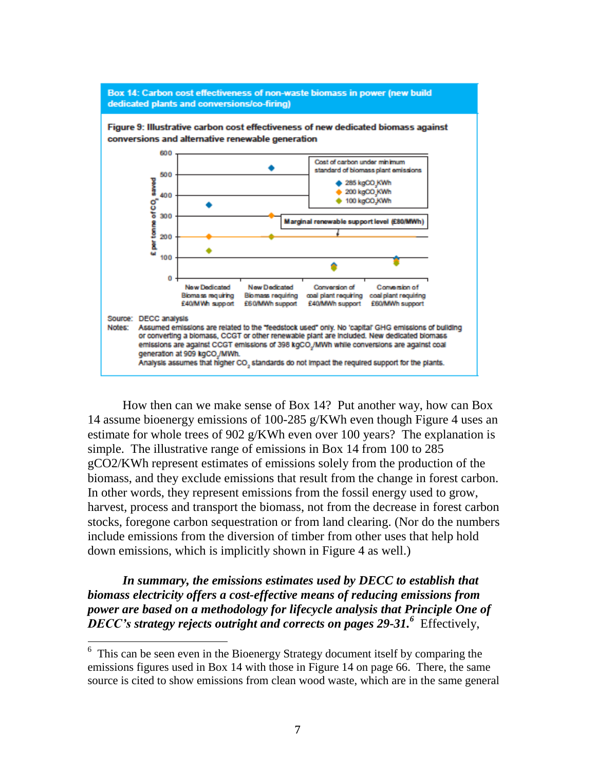

How then can we make sense of Box 14? Put another way, how can Box 14 assume bioenergy emissions of 100-285 g/KWh even though Figure 4 uses an estimate for whole trees of 902 g/KWh even over 100 years? The explanation is simple. The illustrative range of emissions in Box 14 from 100 to 285 gCO2/KWh represent estimates of emissions solely from the production of the biomass, and they exclude emissions that result from the change in forest carbon. In other words, they represent emissions from the fossil energy used to grow, harvest, process and transport the biomass, not from the decrease in forest carbon stocks, foregone carbon sequestration or from land clearing. (Nor do the numbers include emissions from the diversion of timber from other uses that help hold down emissions, which is implicitly shown in Figure 4 as well.)

*In summary, the emissions estimates used by DECC to establish that biomass electricity offers a cost-effective means of reducing emissions from power are based on a methodology for lifecycle analysis that Principle One of DECC's strategy rejects outright and corrects on pages 29-31.<sup>6</sup>* Effectively,

<sup>&</sup>lt;sup>6</sup> This can be seen even in the Bioenergy Strategy document itself by comparing the emissions figures used in Box 14 with those in Figure 14 on page 66. There, the same source is cited to show emissions from clean wood waste, which are in the same general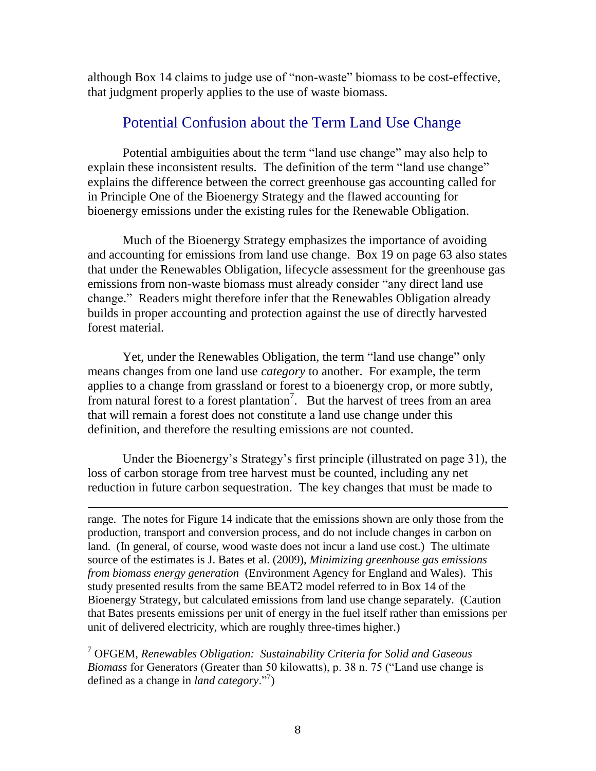although Box 14 claims to judge use of "non-waste" biomass to be cost-effective, that judgment properly applies to the use of waste biomass.

## Potential Confusion about the Term Land Use Change

Potential ambiguities about the term "land use change" may also help to explain these inconsistent results. The definition of the term "land use change" explains the difference between the correct greenhouse gas accounting called for in Principle One of the Bioenergy Strategy and the flawed accounting for bioenergy emissions under the existing rules for the Renewable Obligation.

Much of the Bioenergy Strategy emphasizes the importance of avoiding and accounting for emissions from land use change. Box 19 on page 63 also states that under the Renewables Obligation, lifecycle assessment for the greenhouse gas emissions from non-waste biomass must already consider "any direct land use change." Readers might therefore infer that the Renewables Obligation already builds in proper accounting and protection against the use of directly harvested forest material.

Yet, under the Renewables Obligation, the term "land use change" only means changes from one land use *category* to another. For example, the term applies to a change from grassland or forest to a bioenergy crop, or more subtly, from natural forest to a forest plantation<sup>7</sup>. But the harvest of trees from an area that will remain a forest does not constitute a land use change under this definition, and therefore the resulting emissions are not counted.

Under the Bioenergy's Strategy's first principle (illustrated on page 31), the loss of carbon storage from tree harvest must be counted, including any net reduction in future carbon sequestration. The key changes that must be made to

 $\overline{a}$ 

range. The notes for Figure 14 indicate that the emissions shown are only those from the production, transport and conversion process, and do not include changes in carbon on land. (In general, of course, wood waste does not incur a land use cost.) The ultimate source of the estimates is J. Bates et al. (2009), *Minimizing greenhouse gas emissions from biomass energy generation* (Environment Agency for England and Wales). This study presented results from the same BEAT2 model referred to in Box 14 of the Bioenergy Strategy, but calculated emissions from land use change separately. (Caution that Bates presents emissions per unit of energy in the fuel itself rather than emissions per unit of delivered electricity, which are roughly three-times higher.)

<sup>7</sup> OFGEM, *Renewables Obligation: Sustainability Criteria for Solid and Gaseous Biomass* for Generators (Greater than 50 kilowatts), p. 38 n. 75 ("Land use change is defined as a change in *land category*."<sup>7</sup> )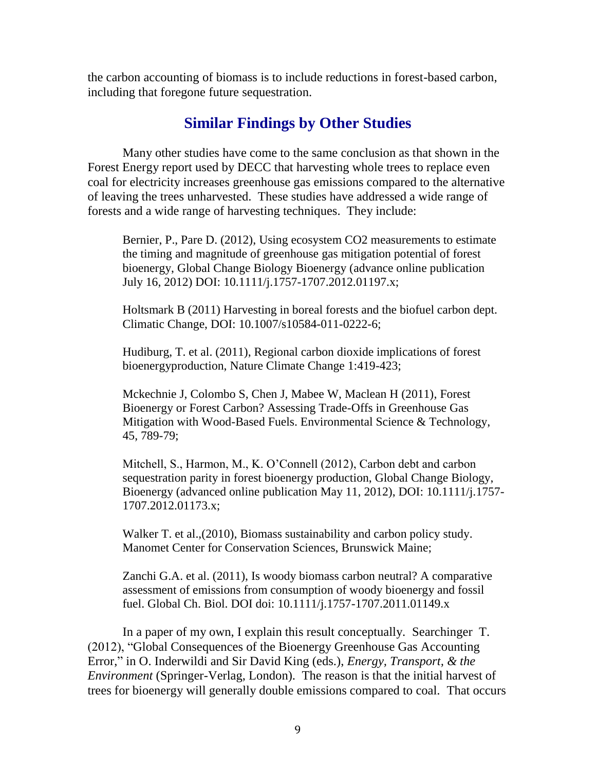the carbon accounting of biomass is to include reductions in forest-based carbon, including that foregone future sequestration.

### **Similar Findings by Other Studies**

Many other studies have come to the same conclusion as that shown in the Forest Energy report used by DECC that harvesting whole trees to replace even coal for electricity increases greenhouse gas emissions compared to the alternative of leaving the trees unharvested. These studies have addressed a wide range of forests and a wide range of harvesting techniques. They include:

Bernier, P., Pare D. (2012), Using ecosystem CO2 measurements to estimate the timing and magnitude of greenhouse gas mitigation potential of forest bioenergy, Global Change Biology Bioenergy (advance online publication July 16, 2012) DOI: 10.1111/j.1757-1707.2012.01197.x;

Holtsmark B (2011) Harvesting in boreal forests and the biofuel carbon dept. Climatic Change, DOI: 10.1007/s10584-011-0222-6;

Hudiburg, T. et al. (2011), Regional carbon dioxide implications of forest bioenergyproduction, Nature Climate Change 1:419-423;

Mckechnie J, Colombo S, Chen J, Mabee W, Maclean H (2011), Forest Bioenergy or Forest Carbon? Assessing Trade-Offs in Greenhouse Gas Mitigation with Wood-Based Fuels. Environmental Science & Technology, 45, 789-79;

Mitchell, S., Harmon, M., K. O'Connell (2012), Carbon debt and carbon sequestration parity in forest bioenergy production, Global Change Biology, Bioenergy (advanced online publication May 11, 2012), DOI: 10.1111/j.1757- 1707.2012.01173.x;

Walker T. et al.,(2010), Biomass sustainability and carbon policy study. Manomet Center for Conservation Sciences, Brunswick Maine;

Zanchi G.A. et al. (2011), Is woody biomass carbon neutral? A comparative assessment of emissions from consumption of woody bioenergy and fossil fuel. Global Ch. Biol. DOI doi: 10.1111/j.1757-1707.2011.01149.x

In a paper of my own, I explain this result conceptually. Searchinger T. (2012), "Global Consequences of the Bioenergy Greenhouse Gas Accounting Error," in O. Inderwildi and Sir David King (eds.), *Energy, Transport, & the Environment* (Springer-Verlag, London). The reason is that the initial harvest of trees for bioenergy will generally double emissions compared to coal. That occurs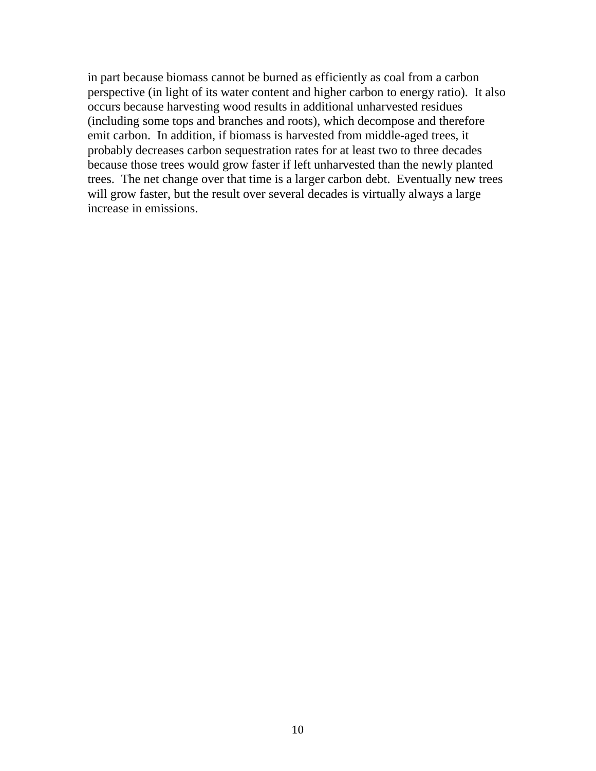in part because biomass cannot be burned as efficiently as coal from a carbon perspective (in light of its water content and higher carbon to energy ratio). It also occurs because harvesting wood results in additional unharvested residues (including some tops and branches and roots), which decompose and therefore emit carbon. In addition, if biomass is harvested from middle-aged trees, it probably decreases carbon sequestration rates for at least two to three decades because those trees would grow faster if left unharvested than the newly planted trees. The net change over that time is a larger carbon debt. Eventually new trees will grow faster, but the result over several decades is virtually always a large increase in emissions.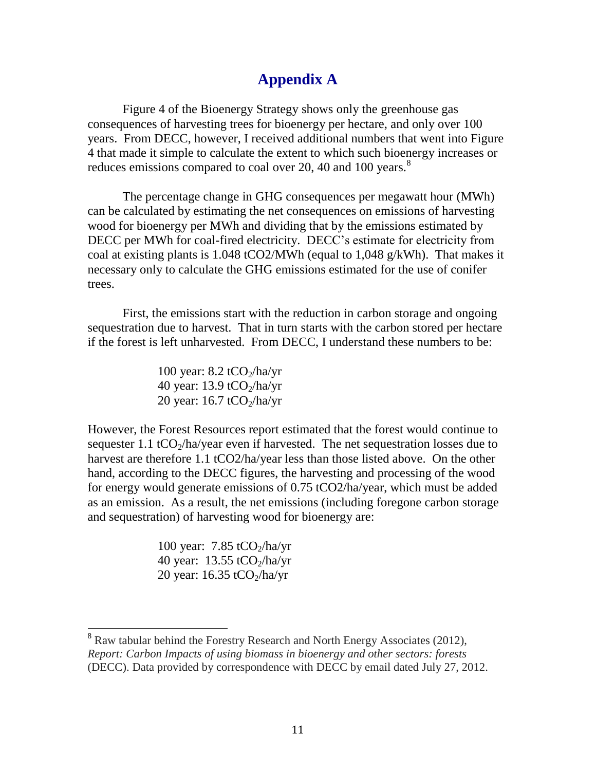# **Appendix A**

Figure 4 of the Bioenergy Strategy shows only the greenhouse gas consequences of harvesting trees for bioenergy per hectare, and only over 100 years. From DECC, however, I received additional numbers that went into Figure 4 that made it simple to calculate the extent to which such bioenergy increases or reduces emissions compared to coal over 20, 40 and 100 years.<sup>8</sup>

The percentage change in GHG consequences per megawatt hour (MWh) can be calculated by estimating the net consequences on emissions of harvesting wood for bioenergy per MWh and dividing that by the emissions estimated by DECC per MWh for coal-fired electricity. DECC's estimate for electricity from coal at existing plants is 1.048 tCO2/MWh (equal to 1,048 g/kWh). That makes it necessary only to calculate the GHG emissions estimated for the use of conifer trees.

First, the emissions start with the reduction in carbon storage and ongoing sequestration due to harvest. That in turn starts with the carbon stored per hectare if the forest is left unharvested. From DECC, I understand these numbers to be:

> 100 year:  $8.2 \text{ tCO}_2/ha/\text{yr}$ 40 year:  $13.9 \text{ tCO}_2$ /ha/yr 20 year:  $16.7 \text{ tCO}_2\text{/ha/yr}$

However, the Forest Resources report estimated that the forest would continue to sequester 1.1 tCO<sub>2</sub>/ha/year even if harvested. The net sequestration losses due to harvest are therefore 1.1 tCO2/ha/year less than those listed above. On the other hand, according to the DECC figures, the harvesting and processing of the wood for energy would generate emissions of 0.75 tCO2/ha/year, which must be added as an emission. As a result, the net emissions (including foregone carbon storage and sequestration) of harvesting wood for bioenergy are:

> 100 year:  $7.85 \text{ tCO}_2\text{/ha/yr}$ 40 year:  $13.55 \text{ tCO}_2\text{/ha/yr}$ 20 year:  $16.35 \text{ tCO}_2/ha/\text{yr}$

 $\overline{a}$ 

 $8$  Raw tabular behind the Forestry Research and North Energy Associates (2012), *Report: Carbon Impacts of using biomass in bioenergy and other sectors: forests* (DECC). Data provided by correspondence with DECC by email dated July 27, 2012.